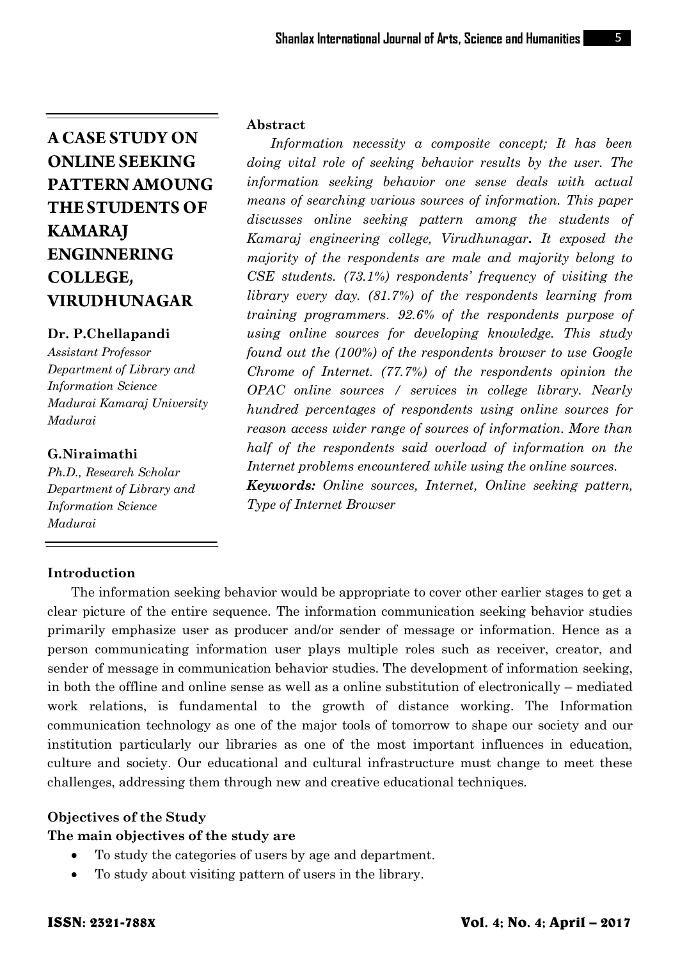# **Dr. P.Chellapandi**

*Assistant Professor Department of Library and Information Science Madurai Kamaraj University Madurai*

# **G.Niraimathi**

*Ph.D., Research Scholar Department of Library and Information Science Madurai*

# **Abstract**

*Information necessity a composite concept; It has been doing vital role of seeking behavior results by the user. The information seeking behavior one sense deals with actual means of searching various sources of information. This paper discusses online seeking pattern among the students of Kamaraj engineering college, Virudhunagar. It exposed the majority of the respondents are male and majority belong to CSE students. (73.1%) respondents' frequency of visiting the library every day. (81.7%) of the respondents learning from training programmers. 92.6% of the respondents purpose of using online sources for developing knowledge. This study found out the (100%) of the respondents browser to use Google Chrome of Internet. (77.7%) of the respondents opinion the OPAC online sources / services in college library. Nearly hundred percentages of respondents using online sources for reason access wider range of sources of information. More than half of the respondents said overload of information on the Internet problems encountered while using the online sources. Keywords: Online sources, Internet, Online seeking pattern, Type of Internet Browser* 

# **Introduction**

The information seeking behavior would be appropriate to cover other earlier stages to get a clear picture of the entire sequence. The information communication seeking behavior studies primarily emphasize user as producer and/or sender of message or information. Hence as a person communicating information user plays multiple roles such as receiver, creator, and sender of message in communication behavior studies. The development of information seeking, in both the offline and online sense as well as a online substitution of electronically – mediated work relations, is fundamental to the growth of distance working. The Information communication technology as one of the major tools of tomorrow to shape our society and our institution particularly our libraries as one of the most important influences in education, culture and society. Our educational and cultural infrastructure must change to meet these challenges, addressing them through new and creative educational techniques.

# **Objectives of the Study**

# **The main objectives of the study are**

- To study the categories of users by age and department.
- To study about visiting pattern of users in the library.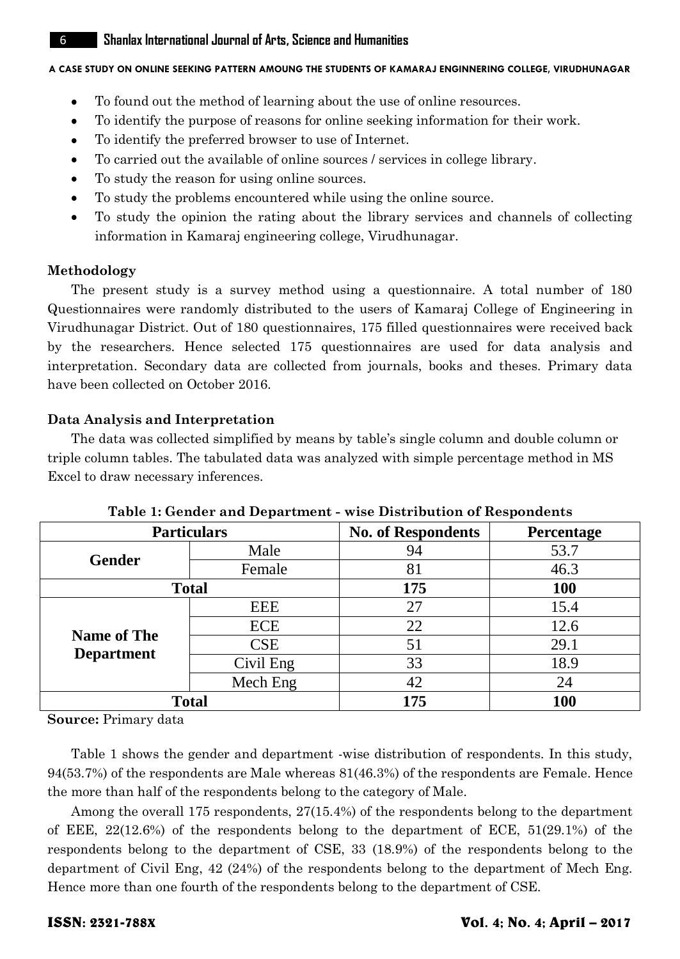# 6 **ShanlaxInternational Journal of Arts, Science and Humanities**

# **A CASE STUDY ON ONLINE SEEKING PATTERN AMOUNG THE STUDENTS OF KAMARAJ ENGINNERING COLLEGE, VIRUDHUNAGAR**

- To found out the method of learning about the use of online resources.
- $\bullet$ To identify the purpose of reasons for online seeking information for their work.
- To identify the preferred browser to use of Internet.  $\bullet$
- To carried out the available of online sources / services in college library.
- To study the reason for using online sources.  $\bullet$
- To study the problems encountered while using the online source.
- To study the opinion the rating about the library services and channels of collecting information in Kamaraj engineering college, Virudhunagar.

# **Methodology**

The present study is a survey method using a questionnaire. A total number of 180 Questionnaires were randomly distributed to the users of Kamaraj College of Engineering in Virudhunagar District. Out of 180 questionnaires, 175 filled questionnaires were received back by the researchers. Hence selected 175 questionnaires are used for data analysis and interpretation. Secondary data are collected from journals, books and theses. Primary data have been collected on October 2016.

# **Data Analysis and Interpretation**

The data was collected simplified by means by table's single column and double column or triple column tables. The tabulated data was analyzed with simple percentage method in MS Excel to draw necessary inferences.

| <b>Particulars</b> |              | <b>No. of Respondents</b> | Percentage |  |
|--------------------|--------------|---------------------------|------------|--|
| <b>Gender</b>      | Male         | 94                        | 53.7       |  |
|                    | Female       | 81                        | 46.3       |  |
|                    | <b>Total</b> | 175                       | 100        |  |
|                    | <b>EEE</b>   | 27                        | 15.4       |  |
|                    | <b>ECE</b>   | 22                        | 12.6       |  |
| <b>Name of The</b> | <b>CSE</b>   | 51                        | 29.1       |  |
| <b>Department</b>  | Civil Eng    | 33                        | 18.9       |  |
|                    | Mech Eng     | 42                        | 24         |  |
|                    | <b>Total</b> | 175                       | 100        |  |

# **Table 1: Gender and Department - wise Distribution of Respondents**

**Source:** Primary data

Table 1 shows the gender and department -wise distribution of respondents. In this study, 94(53.7%) of the respondents are Male whereas 81(46.3%) of the respondents are Female. Hence the more than half of the respondents belong to the category of Male.

Among the overall 175 respondents, 27(15.4%) of the respondents belong to the department of EEE, 22(12.6%) of the respondents belong to the department of ECE, 51(29.1%) of the respondents belong to the department of CSE, 33 (18.9%) of the respondents belong to the department of Civil Eng, 42 (24%) of the respondents belong to the department of Mech Eng. Hence more than one fourth of the respondents belong to the department of CSE.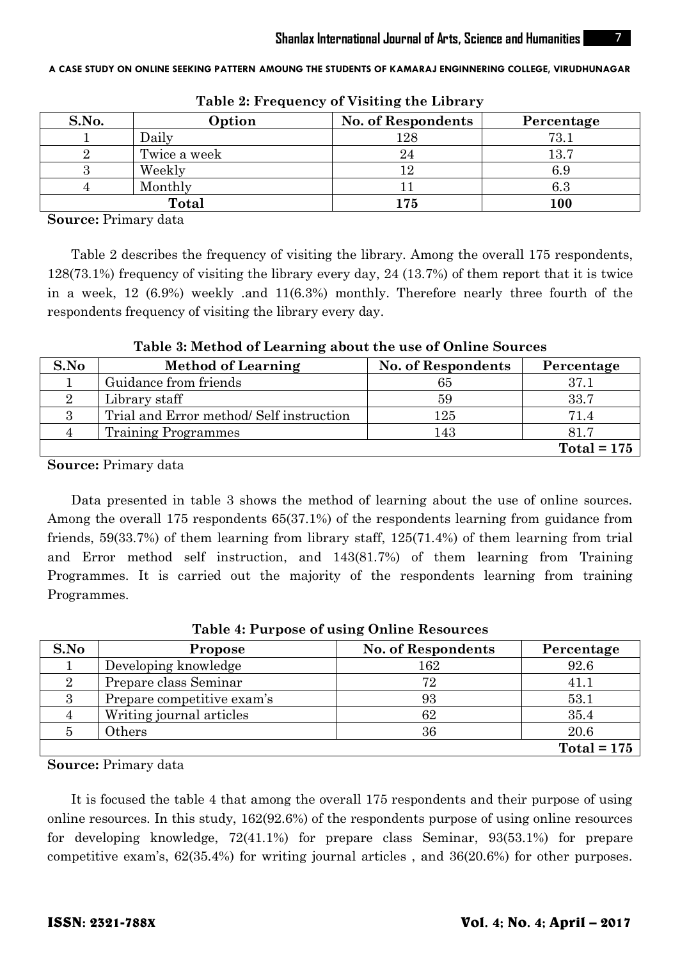| S.No. | Option       | <b>No. of Respondents</b> | Percentage |
|-------|--------------|---------------------------|------------|
|       | Daily        | 128                       | 73.1       |
|       | Twice a week | 24                        | 13.7       |
|       | Weekly       |                           | 6.9        |
|       | Monthly      |                           | $6.3\,$    |
|       | <b>Total</b> | 175                       | 100        |

**Table 2: Frequency of Visiting the Library**

**Source:** Primary data

Table 2 describes the frequency of visiting the library. Among the overall 175 respondents, 128(73.1%) frequency of visiting the library every day, 24 (13.7%) of them report that it is twice in a week, 12 (6.9%) weekly .and 11(6.3%) monthly. Therefore nearly three fourth of the respondents frequency of visiting the library every day.

| S.No | <b>Method of Learning</b>               | <b>No. of Respondents</b> | Percentage    |
|------|-----------------------------------------|---------------------------|---------------|
|      | Guidance from friends                   | 65                        | 37.1          |
|      | Library staff                           | 59                        | 33.7          |
|      | Trial and Error method/Self instruction | 125                       | 71.4          |
|      | <b>Training Programmes</b>              | 143                       | 81.7          |
|      |                                         |                           | $Total = 175$ |

**Table 3: Method of Learning about the use of Online Sources**

**Source:** Primary data

Data presented in table 3 shows the method of learning about the use of online sources. Among the overall 175 respondents 65(37.1%) of the respondents learning from guidance from friends, 59(33.7%) of them learning from library staff, 125(71.4%) of them learning from trial and Error method self instruction, and 143(81.7%) of them learning from Training Programmes. It is carried out the majority of the respondents learning from training Programmes.

| Tuble 1. I al pose of asing chaine nesources |                            |                           |               |  |
|----------------------------------------------|----------------------------|---------------------------|---------------|--|
| S.No                                         | Propose                    | <b>No. of Respondents</b> | Percentage    |  |
|                                              | Developing knowledge       | 162                       | 92.6          |  |
|                                              | Prepare class Seminar      | 72                        | 41.1          |  |
|                                              | Prepare competitive exam's | 93                        | 53.1          |  |
|                                              | Writing journal articles   | 62                        | 35.4          |  |
|                                              | Others                     | 36                        | 20.6          |  |
|                                              |                            |                           | $Total = 175$ |  |

**Table 4: Purpose of using Online Resources**

**Source:** Primary data

It is focused the table 4 that among the overall 175 respondents and their purpose of using online resources. In this study, 162(92.6%) of the respondents purpose of using online resources for developing knowledge, 72(41.1%) for prepare class Seminar, 93(53.1%) for prepare competitive exam's, 62(35.4%) for writing journal articles , and 36(20.6%) for other purposes.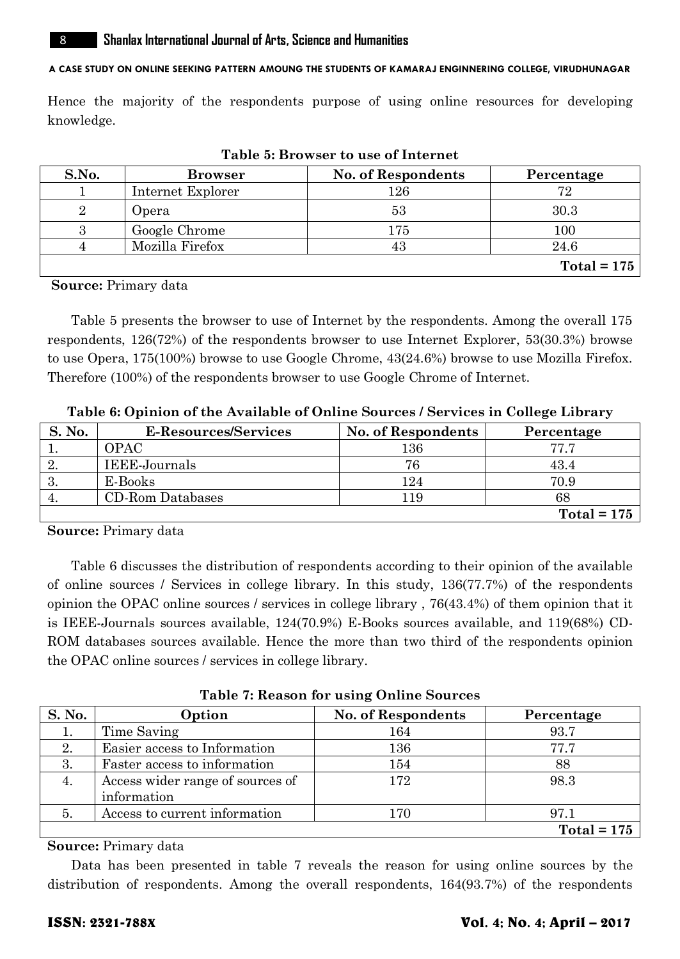Hence the majority of the respondents purpose of using online resources for developing knowledge.

| S.No.          | <b>Browser</b>    | No. of Respondents | Percentage    |
|----------------|-------------------|--------------------|---------------|
|                | Internet Explorer | 126                | 72            |
| $\overline{2}$ | Opera             | 53                 | 30.3          |
|                | Google Chrome     | 175                | 100           |
|                | Mozilla Firefox   | 43                 | 24.6          |
|                |                   |                    | Total = $175$ |

**Table 5: Browser to use of Internet**

**Source:** Primary data

Table 5 presents the browser to use of Internet by the respondents. Among the overall 175 respondents, 126(72%) of the respondents browser to use Internet Explorer, 53(30.3%) browse to use Opera, 175(100%) browse to use Google Chrome, 43(24.6%) browse to use Mozilla Firefox. Therefore (100%) of the respondents browser to use Google Chrome of Internet.

| S. No. | E-Resources/Services | <b>No. of Respondents</b> | Percentage    |
|--------|----------------------|---------------------------|---------------|
|        | OPAC                 | $^{136}$                  | 77 7          |
|        | IEEE-Journals        | 76                        | 43.4          |
| - Ə.   | E-Books              | 124                       | 70.9          |
|        | CD-Rom Databases     | -19                       | 68            |
|        |                      |                           | $Total = 175$ |

**Table 6: Opinion of the Available of Online Sources / Services in College Library**

**Source:** Primary data

Table 6 discusses the distribution of respondents according to their opinion of the available of online sources / Services in college library. In this study, 136(77.7%) of the respondents opinion the OPAC online sources / services in college library , 76(43.4%) of them opinion that it is IEEE-Journals sources available, 124(70.9%) E-Books sources available, and 119(68%) CD-ROM databases sources available. Hence the more than two third of the respondents opinion the OPAC online sources / services in college library.

**Table 7: Reason for using Online Sources**

| S. No. | Option                                          | No. of Respondents | Percentage    |
|--------|-------------------------------------------------|--------------------|---------------|
|        | Time Saving                                     | 164                | 93.7          |
| 2.     | Easier access to Information                    | 136                | 77.7          |
| 3.     | Faster access to information                    | 154                | 88            |
| 4.     | Access wider range of sources of<br>information | 172                | 98.3          |
| 5      | Access to current information                   | 170                | 97.1          |
|        |                                                 |                    | $Total = 175$ |

**Source:** Primary data

Data has been presented in table 7 reveals the reason for using online sources by the distribution of respondents. Among the overall respondents, 164(93.7%) of the respondents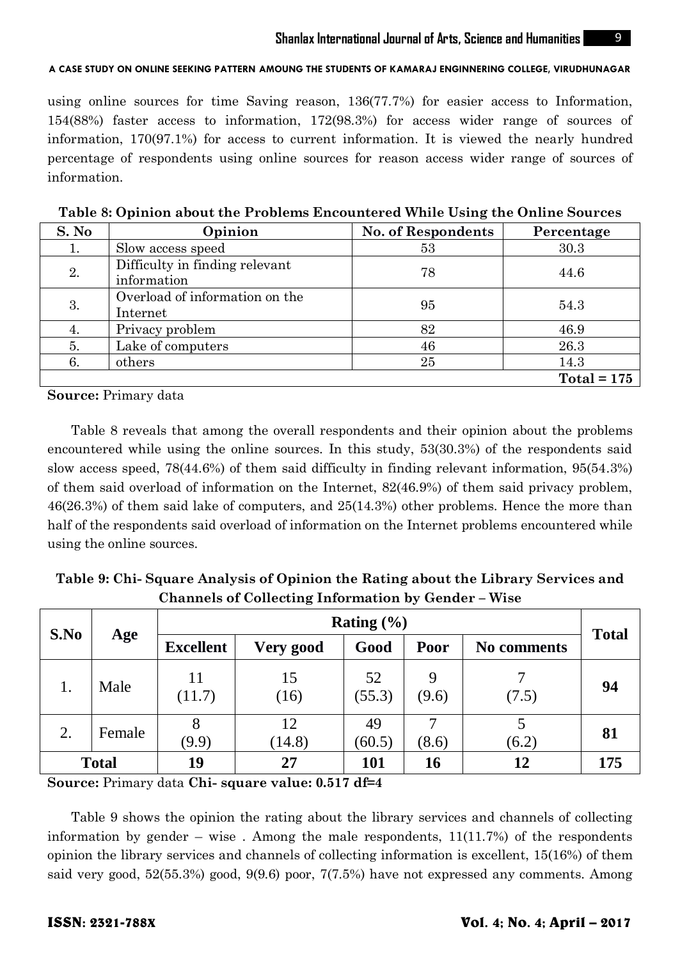using online sources for time Saving reason, 136(77.7%) for easier access to Information, 154(88%) faster access to information, 172(98.3%) for access wider range of sources of information, 170(97.1%) for access to current information. It is viewed the nearly hundred percentage of respondents using online sources for reason access wider range of sources of information.

| S. No | Opinion                                       | <b>No. of Respondents</b> | Percentage    |
|-------|-----------------------------------------------|---------------------------|---------------|
|       | Slow access speed                             | 53                        | 30.3          |
| 2.    | Difficulty in finding relevant<br>information | 78                        | 44.6          |
| 3.    | Overload of information on the<br>Internet    | 95                        | 54.3          |
| 4.    | Privacy problem                               | 82                        | 46.9          |
| 5.    | Lake of computers                             | 46                        | 26.3          |
| 6.    | others                                        | 25                        | 14.3          |
|       |                                               |                           | $Total = 175$ |

**Table 8: Opinion about the Problems Encountered While Using the Online Sources**

**Source:** Primary data

Table 8 reveals that among the overall respondents and their opinion about the problems encountered while using the online sources. In this study, 53(30.3%) of the respondents said slow access speed, 78(44.6%) of them said difficulty in finding relevant information, 95(54.3%) of them said overload of information on the Internet, 82(46.9%) of them said privacy problem, 46(26.3%) of them said lake of computers, and 25(14.3%) other problems. Hence the more than half of the respondents said overload of information on the Internet problems encountered while using the online sources.

| Table 9: Chi-Square Analysis of Opinion the Rating about the Library Services and |  |
|-----------------------------------------------------------------------------------|--|
| <b>Channels of Collecting Information by Gender – Wise</b>                        |  |

| S.No |              | Rating $(\% )$   |              |              |            | <b>Total</b> |     |
|------|--------------|------------------|--------------|--------------|------------|--------------|-----|
|      | Age          | <b>Excellent</b> | Very good    | Good         | Poor       | No comments  |     |
| 1.   | Male         | 11<br>(11.7)     | 15<br>(16)   | 52<br>(55.3) | 9<br>(9.6) | (7.5)        | 94  |
| 2.   | Female       | (9.9)            | 12<br>(14.8) | 49<br>(60.5) | (8.6)      | (6.2)        | 81  |
|      | <b>Total</b> | 19               | 27           | 101          | 16         | 12           | 175 |

**Source:** Primary data **Chi- square value: 0.517 df=4**

Table 9 shows the opinion the rating about the library services and channels of collecting information by gender – wise. Among the male respondents,  $11(11.7%)$  of the respondents opinion the library services and channels of collecting information is excellent, 15(16%) of them said very good, 52(55.3%) good, 9(9.6) poor, 7(7.5%) have not expressed any comments. Among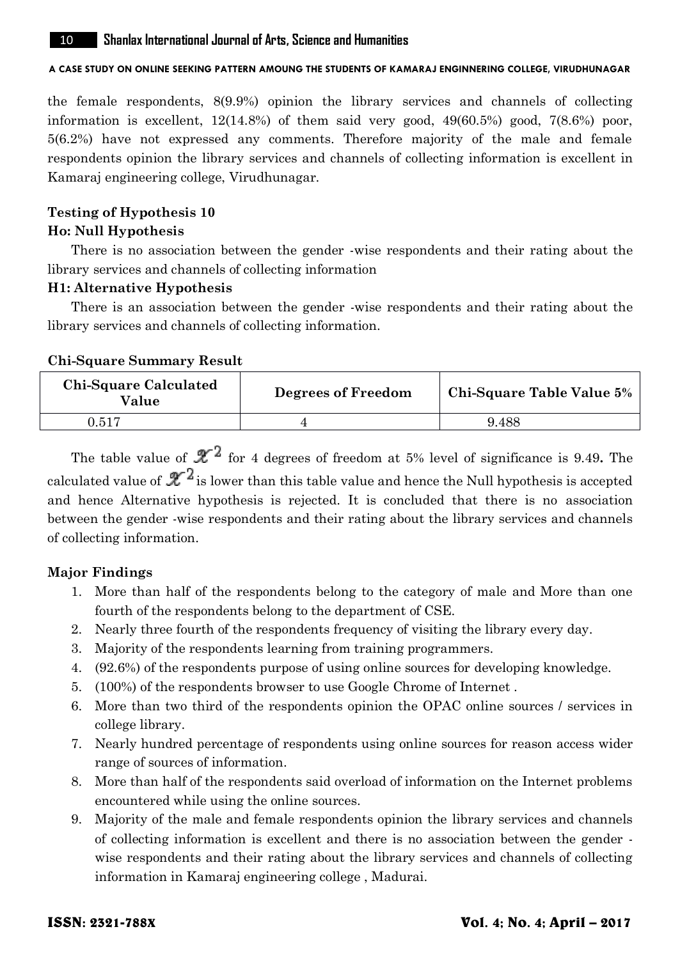the female respondents, 8(9.9%) opinion the library services and channels of collecting information is excellent,  $12(14.8%)$  of them said very good,  $49(60.5%)$  good,  $7(8.6%)$  poor, 5(6.2%) have not expressed any comments. Therefore majority of the male and female respondents opinion the library services and channels of collecting information is excellent in Kamaraj engineering college, Virudhunagar.

# **Testing of Hypothesis 10**

# **Ho: Null Hypothesis**

There is no association between the gender -wise respondents and their rating about the library services and channels of collecting information

# **H1: Alternative Hypothesis**

There is an association between the gender -wise respondents and their rating about the library services and channels of collecting information.

# **Chi-Square Summary Result**

| Chi-Square Calculated<br>Value | <b>Degrees of Freedom</b> | <b>Chi-Square Table Value 5%</b> |
|--------------------------------|---------------------------|----------------------------------|
| 0.517                          |                           | 9.488                            |

The table value of  $\mathcal{X}^2$  for 4 degrees of freedom at 5% level of significance is 9.49. The calculated value of  $\mathcal{X}^2$  is lower than this table value and hence the Null hypothesis is accepted and hence Alternative hypothesis is rejected. It is concluded that there is no association between the gender -wise respondents and their rating about the library services and channels of collecting information.

# **Major Findings**

- 1. More than half of the respondents belong to the category of male and More than one fourth of the respondents belong to the department of CSE.
- 2. Nearly three fourth of the respondents frequency of visiting the library every day.
- 3. Majority of the respondents learning from training programmers.
- 4. (92.6%) of the respondents purpose of using online sources for developing knowledge.
- 5. (100%) of the respondents browser to use Google Chrome of Internet .
- 6. More than two third of the respondents opinion the OPAC online sources / services in college library.
- 7. Nearly hundred percentage of respondents using online sources for reason access wider range of sources of information.
- 8. More than half of the respondents said overload of information on the Internet problems encountered while using the online sources.
- 9. Majority of the male and female respondents opinion the library services and channels of collecting information is excellent and there is no association between the gender wise respondents and their rating about the library services and channels of collecting information in Kamaraj engineering college , Madurai.